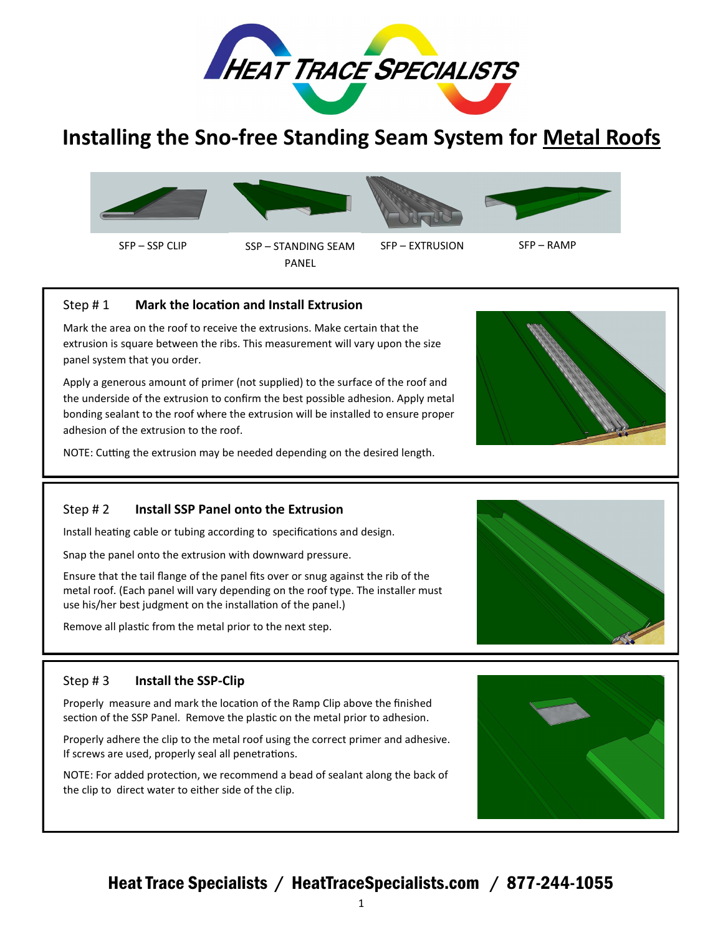

# **Installing the Sno-free Standing Seam System for Metal Roofs**



# Step # 1 **Mark the location and Install Extrusion**

Mark the area on the roof to receive the extrusions. Make certain that the extrusion is square between the ribs. This measurement will vary upon the size panel system that you order.

Apply a generous amount of primer (not supplied) to the surface of the roof and the underside of the extrusion to confirm the best possible adhesion. Apply metal bonding sealant to the roof where the extrusion will be installed to ensure proper adhesion of the extrusion to the roof.

NOTE: Cutting the extrusion may be needed depending on the desired length.

### Step # 2 **Install SSP Panel onto the Extrusion**

Install heating cable or tubing according to specifications and design.

Snap the panel onto the extrusion with downward pressure.

Ensure that the tail flange of the panel fits over or snug against the rib of the metal roof. (Each panel will vary depending on the roof type. The installer must use his/her best judgment on the installation of the panel.)

Remove all plastic from the metal prior to the next step.

#### Step # 3 **Install the SSP-Clip**

Properly measure and mark the location of the Ramp Clip above the finished section of the SSP Panel. Remove the plastic on the metal prior to adhesion.

Properly adhere the clip to the metal roof using the correct primer and adhesive. If screws are used, properly seal all penetrations.

NOTE: For added protection, we recommend a bead of sealant along the back of the clip to direct water to either side of the clip.





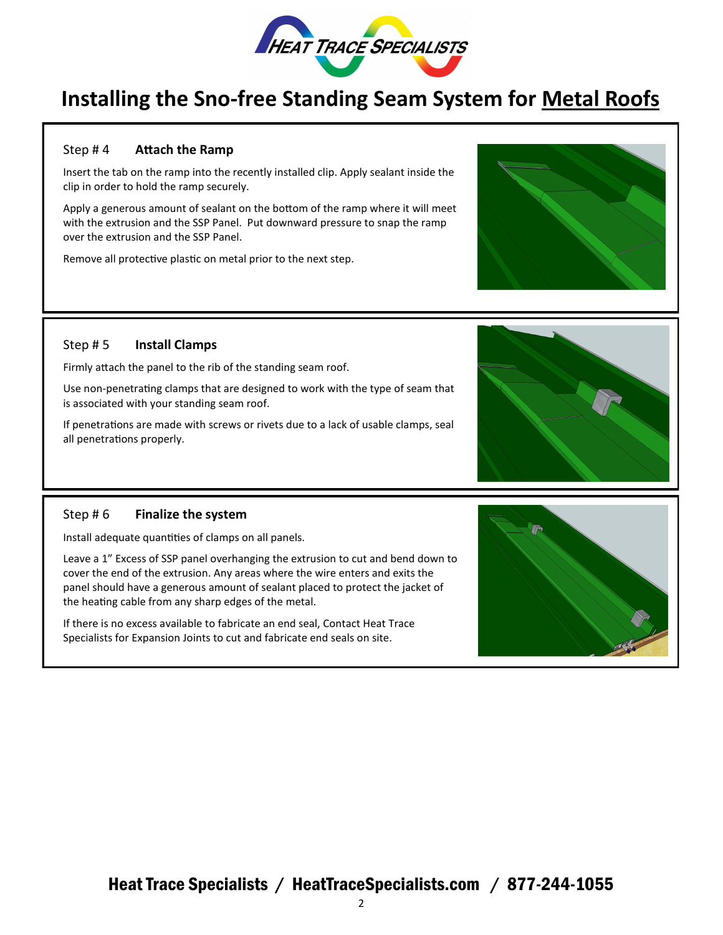

# **Installing the Sno-free Standing Seam System for Metal Roofs**

### Step # 4 **Attach the Ramp**

Insert the tab on the ramp into the recently installed clip. Apply sealant inside the clip in order to hold the ramp securely.

Apply a generous amount of sealant on the bottom of the ramp where it will meet with the extrusion and the SSP Panel. Put downward pressure to snap the ramp over the extrusion and the SSP Panel.

Remove all protective plastic on metal prior to the next step.



### Step # 5 **Install Clamps**

Firmly attach the panel to the rib of the standing seam roof.

Use non-penetrating clamps that are designed to work with the type of seam that is associated with your standing seam roof.

If penetrations are made with screws or rivets due to a lack of usable clamps, seal all penetrations properly.

#### Step # 6 **Finalize the system**

Install adequate quantities of clamps on all panels.

Leave a 1" Excess of SSP panel overhanging the extrusion to cut and bend down to cover the end of the extrusion. Any areas where the wire enters and exits the panel should have a generous amount of sealant placed to protect the jacket of the heating cable from any sharp edges of the metal.

If there is no excess available to fabricate an end seal, Contact Heat Trace Specialists for Expansion Joints to cut and fabricate end seals on site.

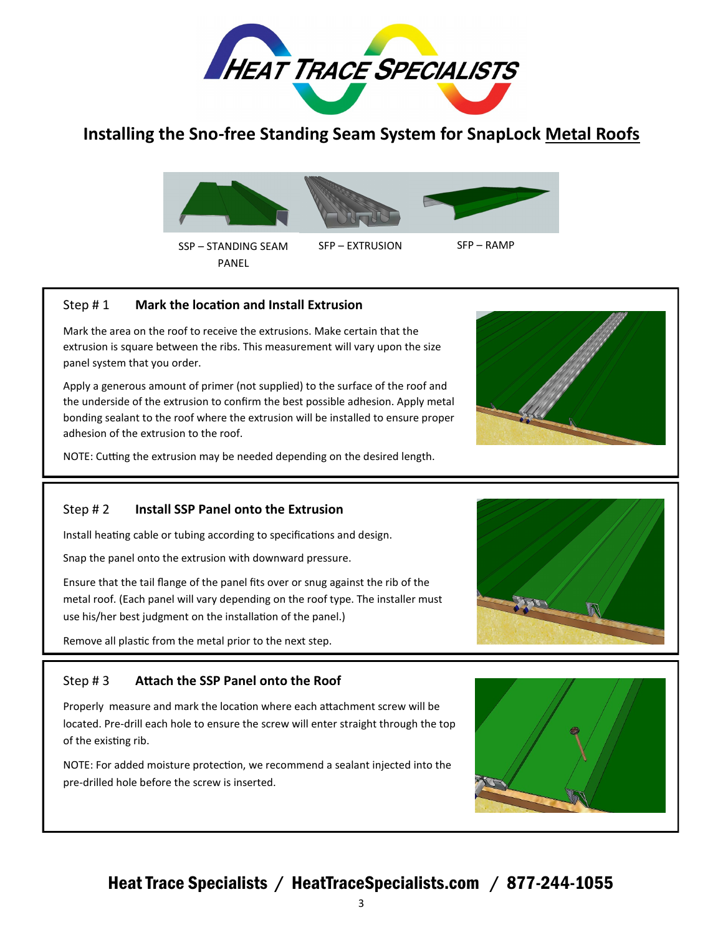

# **Installing the Sno-free Standing Seam System for SnapLock Metal Roofs**



# Step # 1 **Mark the location and Install Extrusion**

Mark the area on the roof to receive the extrusions. Make certain that the extrusion is square between the ribs. This measurement will vary upon the size panel system that you order.

Apply a generous amount of primer (not supplied) to the surface of the roof and the underside of the extrusion to confirm the best possible adhesion. Apply metal bonding sealant to the roof where the extrusion will be installed to ensure proper adhesion of the extrusion to the roof.

NOTE: Cutting the extrusion may be needed depending on the desired length.

### Step # 2 **Install SSP Panel onto the Extrusion**

Install heating cable or tubing according to specifications and design.

Snap the panel onto the extrusion with downward pressure.

Ensure that the tail flange of the panel fits over or snug against the rib of the metal roof. (Each panel will vary depending on the roof type. The installer must use his/her best judgment on the installation of the panel.)

Remove all plastic from the metal prior to the next step.

# Step # 3 **Attach the SSP Panel onto the Roof**

Properly measure and mark the location where each attachment screw will be located. Pre-drill each hole to ensure the screw will enter straight through the top of the existing rib.

NOTE: For added moisture protection, we recommend a sealant injected into the pre-drilled hole before the screw is inserted.





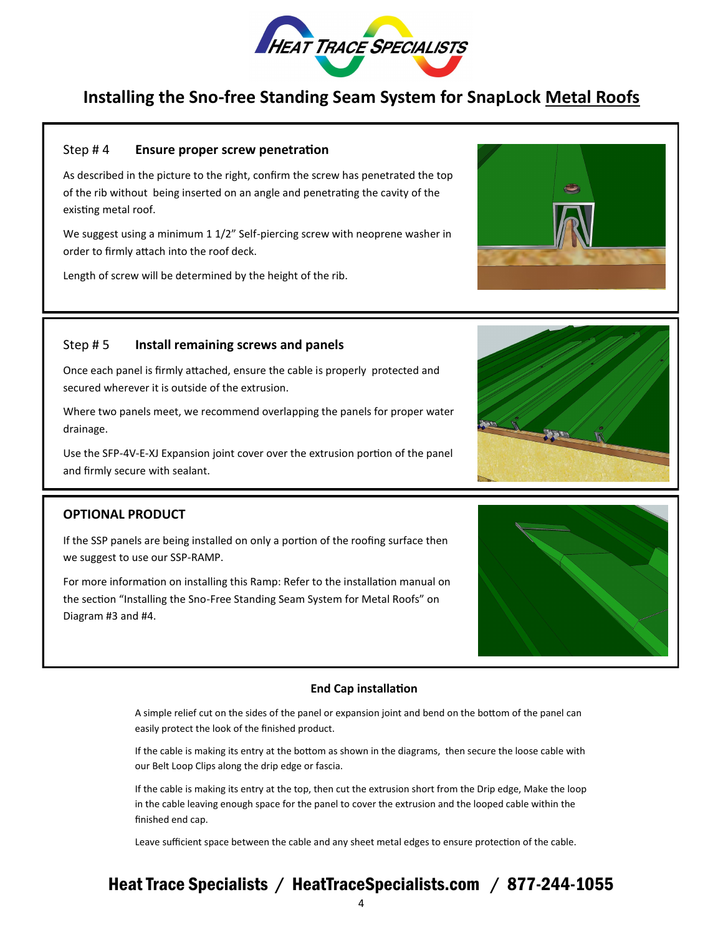

# **Installing the Sno-free Standing Seam System for SnapLock Metal Roofs**

#### Step # 4 **Ensure proper screw penetration**

As described in the picture to the right, confirm the screw has penetrated the top of the rib without being inserted on an angle and penetrating the cavity of the existing metal roof.

We suggest using a minimum 1 1/2" Self-piercing screw with neoprene washer in order to firmly attach into the roof deck.

Length of screw will be determined by the height of the rib.

### Step # 5 **Install remaining screws and panels**

Once each panel is firmly attached, ensure the cable is properly protected and secured wherever it is outside of the extrusion.

Where two panels meet, we recommend overlapping the panels for proper water drainage.

Use the SFP-4V-E-XJ Expansion joint cover over the extrusion portion of the panel and firmly secure with sealant.

#### **OPTIONAL PRODUCT**

If the SSP panels are being installed on only a portion of the roofing surface then we suggest to use our SSP-RAMP.

For more information on installing this Ramp: Refer to the installation manual on the section "Installing the Sno-Free Standing Seam System for Metal Roofs" on Diagram #3 and #4.

#### **End Cap installation**

A simple relief cut on the sides of the panel or expansion joint and bend on the bottom of the panel can easily protect the look of the finished product.

If the cable is making its entry at the bottom as shown in the diagrams, then secure the loose cable with our Belt Loop Clips along the drip edge or fascia.

If the cable is making its entry at the top, then cut the extrusion short from the Drip edge, Make the loop in the cable leaving enough space for the panel to cover the extrusion and the looped cable within the finished end cap.

Leave sufficient space between the cable and any sheet metal edges to ensure protection of the cable.